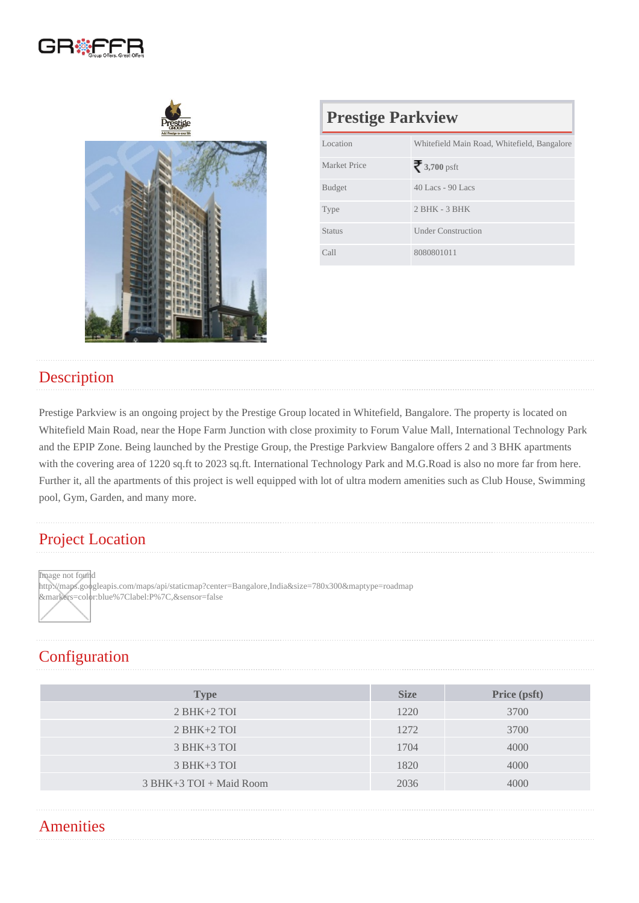| <b>Prestige Parkview</b> |                                             |  |  |  |  |  |  |  |  |  |
|--------------------------|---------------------------------------------|--|--|--|--|--|--|--|--|--|
| Location                 | Whitefield Main Road, Whitefield, Bangalore |  |  |  |  |  |  |  |  |  |
| Market Price             | 3,700psft                                   |  |  |  |  |  |  |  |  |  |
| <b>Budget</b>            | 40 Lacs - 90 Lacs                           |  |  |  |  |  |  |  |  |  |
| <b>Type</b>              | $2$ BHK - $3$ BHK                           |  |  |  |  |  |  |  |  |  |
| <b>Status</b>            | <b>Under Construction</b>                   |  |  |  |  |  |  |  |  |  |
| Call                     | 8080801011                                  |  |  |  |  |  |  |  |  |  |

## **Description**

Prestige Parkview is an ongoing project by the Prestige Group located in Whitefield, Bangalore. The property is located on Whitefield Main Road, near the Hope Farm Junction with close proximity to Forum Value Mall, International Technology Park and the EPIP Zone. Being launched by the Prestige Group, the Prestige Parkview Bangalore offers 2 and 3 BHK apartments with the covering area of 1220 sq.ft to 2023 sq.ft. International Technology Park and M.G.Road is also no more far from here. Further it, all the apartments of this project is well equipped with lot of ultra modern amenities such as Club House, Swimming pool, Gym, Garden, and many more.

### Project Location

Image not found

http://maps.googleapis.com/maps/api/staticmap?center=Bangalore,India&size=780x300&maptype=roadmap &markers=color:blue%7Clabel:P%7C,&sensor=false

# **Configuration**

| Type                    | <b>Size</b> | Price (psft) |
|-------------------------|-------------|--------------|
| $2$ BHK+2 TOI           | 1220        | 3700         |
| $2$ BHK $+2$ TOI        | 1272        | 3700         |
| 3 BHK+3 TOI             | 1704        | 4000         |
| 3 BHK+3 TOI             | 1820        | 4000         |
| 3 BHK+3 TOI + Maid Room | 2036        | 4000         |

#### **Amenities**